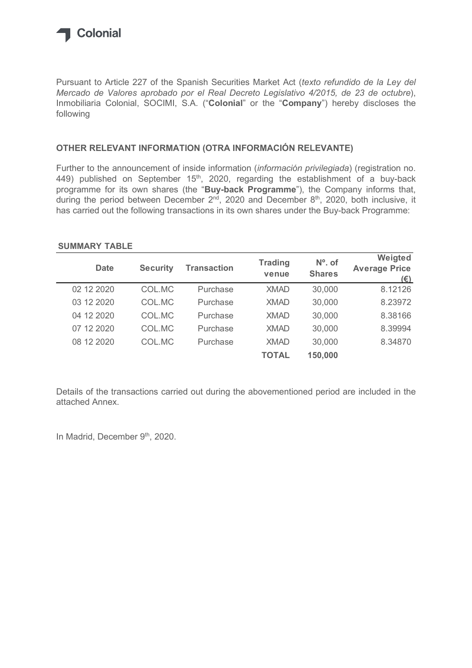

## OTHER RELEVANT INFORMATION (OTRA INFORMACIÓN RELEVANTE)

## SUMMARY TABLE

| OTHER RELEVANT INFORMATION (OTRA INFORMACIÓN RELEVANTE)                                                                                                                                                                                                                                     |                 |                                                                                            |                |               |                             |
|---------------------------------------------------------------------------------------------------------------------------------------------------------------------------------------------------------------------------------------------------------------------------------------------|-----------------|--------------------------------------------------------------------------------------------|----------------|---------------|-----------------------------|
|                                                                                                                                                                                                                                                                                             |                 |                                                                                            |                |               |                             |
| 449) published on September 15 <sup>th</sup> , 2020, regarding the establishment of a buy-back<br>programme for its own shares (the "Buy-back Programme"), the Company informs that,<br>during the period between December $2^{nd}$ , 2020 and December $8^{th}$ , 2020, both inclusive, it |                 | has carried out the following transactions in its own shares under the Buy-back Programme: |                |               |                             |
| <b>SUMMARY TABLE</b><br><b>Date</b>                                                                                                                                                                                                                                                         |                 | <b>Transaction</b>                                                                         | <b>Trading</b> | $No$ . of     | Weigted                     |
|                                                                                                                                                                                                                                                                                             | <b>Security</b> |                                                                                            | venue          | <b>Shares</b> | <b>Average Price</b><br>(E) |
| 02 12 2020                                                                                                                                                                                                                                                                                  | COL.MC          | Purchase                                                                                   | <b>XMAD</b>    | 30,000        | 8.12126                     |
| 03 12 2020                                                                                                                                                                                                                                                                                  | COL.MC          | Purchase                                                                                   | <b>XMAD</b>    | 30,000        | 8.23972                     |
| 04 12 2020                                                                                                                                                                                                                                                                                  | COL.MC          | Purchase                                                                                   | <b>XMAD</b>    | 30,000        | 8.38166                     |
| 07 12 2020                                                                                                                                                                                                                                                                                  | COL.MC          | Purchase                                                                                   | <b>XMAD</b>    | 30,000        | 8.39994                     |
| 08 12 2020                                                                                                                                                                                                                                                                                  | COL.MC          | Purchase                                                                                   | <b>XMAD</b>    | 30,000        | 8.34870                     |

Details of the transactions carried out during the abovementioned period are included in the attached Annex.

In Madrid, December 9th, 2020.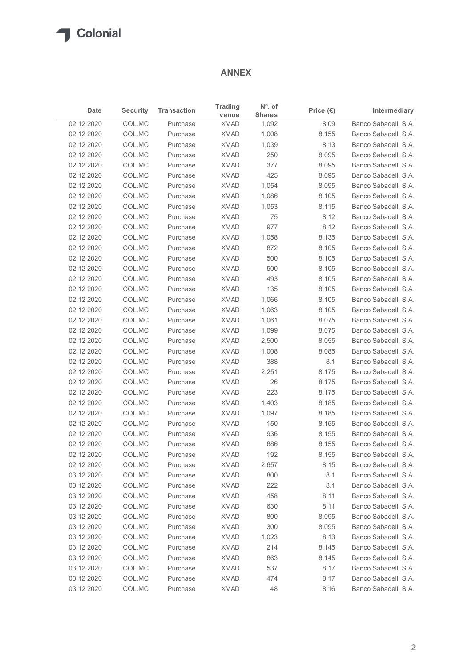## ANNEX

| Date<br>02 12 2020<br>02 12 2020<br>02 12 2020 | <b>Security</b>  |                      |                            |                                   |                    |                                              |
|------------------------------------------------|------------------|----------------------|----------------------------|-----------------------------------|--------------------|----------------------------------------------|
|                                                |                  | <b>Transaction</b>   | <b>Trading</b><br>venue    | $N^{\circ}$ . of<br><b>Shares</b> | Price $(\epsilon)$ | Intermediary                                 |
|                                                | COL.MC           | Purchase             | XMAD                       | 1,092                             | 8.09               | Banco Sabadell, S.A.                         |
|                                                | COL.MC           | Purchase             | XMAD                       | 1,008                             | 8.155              | Banco Sabadell, S.A.                         |
|                                                | COL.MC           | Purchase             | <b>XMAD</b>                | 1,039                             | 8.13               | Banco Sabadell, S.A.                         |
| 02 12 2020                                     | COL.MC           | Purchase             | <b>XMAD</b>                | 250                               | 8.095              | Banco Sabadell, S.A.                         |
| 02 12 2020                                     | COL.MC           | Purchase             | <b>XMAD</b>                | 377                               | 8.095              | Banco Sabadell, S.A.                         |
| 02 12 2020                                     | COL.MC           | Purchase             | <b>XMAD</b>                | 425                               | 8.095              | Banco Sabadell, S.A.                         |
| 02 12 2020                                     | COL.MC           | Purchase             | XMAD                       | 1,054                             | 8.095              | Banco Sabadell, S.A.                         |
| 02 12 2020                                     | COL.MC           | Purchase             | <b>XMAD</b>                | 1,086                             | 8.105              | Banco Sabadell, S.A.                         |
| 02 12 2020                                     | COL.MC           | Purchase             | <b>XMAD</b><br><b>XMAD</b> | 1,053<br>75                       | 8.115              | Banco Sabadell, S.A.                         |
| 02 12 2020<br>02 12 2020                       | COL.MC<br>COL.MC | Purchase<br>Purchase | XMAD                       | 977                               | 8.12<br>8.12       | Banco Sabadell, S.A.<br>Banco Sabadell, S.A. |
| 02 12 2020                                     | COL.MC           | Purchase             | XMAD                       | 1,058                             | 8.135              | Banco Sabadell, S.A.                         |
| 02 12 2020                                     | COL.MC           | Purchase             | <b>XMAD</b>                | 872                               | 8.105              | Banco Sabadell, S.A.                         |
| 02 12 2020                                     | COL.MC           | Purchase             | XMAD                       | 500                               | 8.105              | Banco Sabadell, S.A.                         |
| 02 12 2020                                     | COL.MC           | Purchase             | <b>XMAD</b>                | 500                               | 8.105              | Banco Sabadell, S.A.                         |
| 02 12 2020                                     | COL.MC           | Purchase             | <b>XMAD</b>                | 493                               | 8.105              | Banco Sabadell, S.A.                         |
| 02 12 2020                                     | COL.MC           | Purchase             | <b>XMAD</b>                | 135                               | 8.105              | Banco Sabadell, S.A.                         |
| 02 12 2020                                     | COL.MC           | Purchase             | XMAD                       | 1,066                             | 8.105              | Banco Sabadell, S.A.                         |
| 02 12 2020                                     | COL.MC           | Purchase             | <b>XMAD</b>                | 1,063                             | 8.105              | Banco Sabadell, S.A.                         |
| 02 12 2020                                     | COL.MC           | Purchase             | <b>XMAD</b>                | 1,061                             | 8.075              | Banco Sabadell, S.A.                         |
| 02 12 2020                                     | COL.MC           | Purchase             | <b>XMAD</b>                | 1,099                             | 8.075              | Banco Sabadell, S.A.                         |
| 02 12 2020                                     | COL.MC           | Purchase             | <b>XMAD</b>                | 2,500                             | 8.055              | Banco Sabadell, S.A.                         |
| 02 12 2020                                     | COL.MC           | Purchase             | <b>XMAD</b>                | 1,008                             | 8.085              | Banco Sabadell, S.A.                         |
| 02 12 2020                                     | COL.MC           | Purchase             | <b>XMAD</b>                | 388                               | 8.1                | Banco Sabadell, S.A.                         |
| 02 12 2020                                     | COL.MC           | Purchase             | <b>XMAD</b>                | 2,251                             | 8.175              | Banco Sabadell, S.A.                         |
| 02 12 2020                                     | COL.MC           | Purchase             | <b>XMAD</b>                | 26                                | 8.175              | Banco Sabadell, S.A.                         |
| 02 12 2020                                     | COL.MC           | Purchase             | XMAD                       | 223                               | 8.175              | Banco Sabadell, S.A.                         |
| 02 12 2020                                     | COL.MC           | Purchase             | <b>XMAD</b>                | 1,403                             | 8.185              | Banco Sabadell, S.A.                         |
| 02 12 2020                                     | COL.MC           | Purchase             | <b>XMAD</b>                | 1,097                             | 8.185              | Banco Sabadell, S.A.                         |
| 02 12 2020                                     | COL.MC           | Purchase             | <b>XMAD</b>                | 150                               | 8.155              | Banco Sabadell, S.A.                         |
| 02 12 2020                                     | COL.MC           | Purchase             | <b>XMAD</b>                | 936                               | 8.155              | Banco Sabadell, S.A.                         |
| 02 12 2020                                     | COL.MC           | Purchase             | <b>XMAD</b><br><b>XMAD</b> | 886<br>192                        | 8.155<br>8.155     | Banco Sabadell, S.A.                         |
| 02 12 2020<br>02 12 2020                       | COL.MC<br>COL.MC | Purchase<br>Purchase | XMAD                       | 2,657                             | 8.15               | Banco Sabadell, S.A.<br>Banco Sabadell, S.A. |
| 03 12 2020                                     | COL.MC           | Purchase             | <b>XMAD</b>                | 800                               | 8.1                | Banco Sabadell, S.A.                         |
| 03 12 2020                                     | COL.MC           | Purchase             | <b>XMAD</b>                | 222                               | 8.1                | Banco Sabadell, S.A.                         |
| 03 12 2020                                     | COL.MC           | Purchase             | <b>XMAD</b>                | 458                               | 8.11               | Banco Sabadell, S.A.                         |
| 03 12 2020                                     | COL.MC           | Purchase             | <b>XMAD</b>                | 630                               | 8.11               | Banco Sabadell, S.A.                         |
| 03 12 2020                                     | COL.MC           | Purchase             | <b>XMAD</b>                | 800                               | 8.095              | Banco Sabadell, S.A.                         |
| 03 12 2020                                     | COL.MC           | Purchase             | <b>XMAD</b>                | 300                               | 8.095              | Banco Sabadell, S.A.                         |
| 03 12 2020                                     | COL.MC           | Purchase             | <b>XMAD</b>                | 1,023                             | 8.13               | Banco Sabadell, S.A.                         |
| 03 12 2020                                     | COL.MC           | Purchase             | <b>XMAD</b>                | 214                               | 8.145              | Banco Sabadell, S.A.                         |
| 03 12 2020                                     | COL.MC           | Purchase             | <b>XMAD</b>                | 863                               | 8.145              | Banco Sabadell, S.A.                         |
| 03 12 2020                                     | COL.MC           | Purchase             | <b>XMAD</b>                | 537                               | 8.17               | Banco Sabadell, S.A.                         |
| 03 12 2020                                     | COL.MC           | Purchase             | <b>XMAD</b>                | 474                               | 8.17               | Banco Sabadell, S.A.                         |
| 03 12 2020                                     | COL.MC           | Purchase             | <b>XMAD</b>                | 48                                | 8.16               | Banco Sabadell, S.A.                         |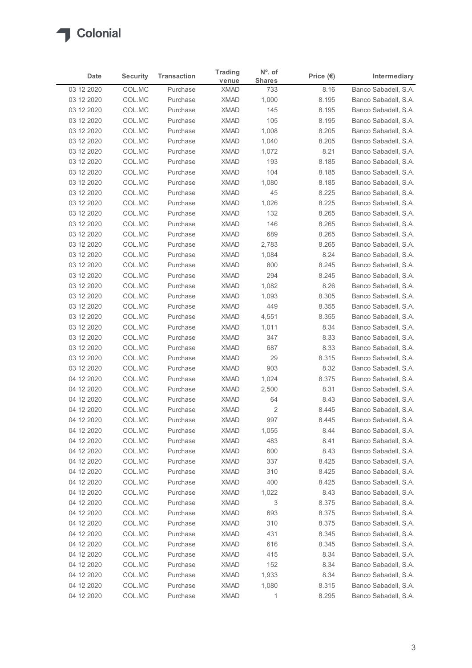

| Date                     | <b>Security</b>  | <b>Transaction</b>   | <b>Trading</b>             | $No$ . of            | Price $(\epsilon)$ | Intermediary                                 |
|--------------------------|------------------|----------------------|----------------------------|----------------------|--------------------|----------------------------------------------|
| 03 12 2020               | COL.MC           | Purchase             | venue<br><b>XMAD</b>       | <b>Shares</b><br>733 | 8.16               | Banco Sabadell, S.A.                         |
| 03 12 2020               | COL.MC           | Purchase             | <b>XMAD</b>                | 1,000                | 8.195              | Banco Sabadell, S.A.                         |
| 03 12 2020               | COL.MC           | Purchase             | <b>XMAD</b>                | 145                  | 8.195              | Banco Sabadell, S.A.                         |
| 03 12 2020               | COL.MC           | Purchase             | <b>XMAD</b>                | 105                  | 8.195              | Banco Sabadell, S.A.                         |
| 03 12 2020               | COL.MC           | Purchase             | <b>XMAD</b>                | 1,008                | 8.205              | Banco Sabadell, S.A.                         |
| 03 12 2020               | COL.MC           | Purchase             | <b>XMAD</b>                | 1,040                | 8.205              | Banco Sabadell, S.A.                         |
| 03 12 2020               | COL.MC           | Purchase<br>Purchase | <b>XMAD</b><br><b>XMAD</b> | 1,072<br>193         | 8.21               | Banco Sabadell, S.A.                         |
| 03 12 2020<br>03 12 2020 | COL.MC<br>COL.MC | Purchase             | <b>XMAD</b>                | 104                  | 8.185<br>8.185     | Banco Sabadell, S.A.<br>Banco Sabadell, S.A. |
| 03 12 2020               | COL.MC           | Purchase             | <b>XMAD</b>                | 1,080                | 8.185              | Banco Sabadell, S.A.                         |
| 03 12 2020               | COL.MC           | Purchase             | <b>XMAD</b>                | 45                   | 8.225              | Banco Sabadell, S.A.                         |
| 03 12 2020               | COL.MC           | Purchase             | <b>XMAD</b>                | 1,026                | 8.225              | Banco Sabadell, S.A.                         |
| 03 12 2020               | COL.MC           | Purchase             | <b>XMAD</b>                | 132                  | 8.265              | Banco Sabadell, S.A.                         |
| 03 12 2020               | COL.MC           | Purchase             | XMAD                       | 146                  | 8.265              | Banco Sabadell, S.A.                         |
| 03 12 2020               | COL.MC           | Purchase             | <b>XMAD</b>                | 689                  | 8.265              | Banco Sabadell, S.A.                         |
| 03 12 2020               | COL.MC           | Purchase             | <b>XMAD</b>                | 2,783                | 8.265              | Banco Sabadell, S.A.                         |
| 03 12 2020<br>03 12 2020 | COL.MC<br>COL.MC | Purchase<br>Purchase | <b>XMAD</b><br><b>XMAD</b> | 1,084<br>800         | 8.24<br>8.245      | Banco Sabadell, S.A.<br>Banco Sabadell, S.A. |
| 03 12 2020               | COL.MC           | Purchase             | <b>XMAD</b>                | 294                  | 8.245              | Banco Sabadell, S.A.                         |
| 03 12 2020               | COL.MC           | Purchase             | <b>XMAD</b>                | 1,082                | 8.26               | Banco Sabadell, S.A.                         |
| 03 12 2020               | COL.MC           | Purchase             | <b>XMAD</b>                | 1,093                | 8.305              | Banco Sabadell, S.A.                         |
| 03 12 2020               | COL.MC           | Purchase             | XMAD                       | 449                  | 8.355              | Banco Sabadell, S.A.                         |
| 03 12 2020               | COL.MC           | Purchase             | <b>XMAD</b>                | 4,551                | 8.355              | Banco Sabadell, S.A.                         |
| 03 12 2020               | COL.MC           | Purchase             | <b>XMAD</b>                | 1,011                | 8.34               | Banco Sabadell, S.A.                         |
| 03 12 2020               | COL.MC           | Purchase             | XMAD                       | 347                  | 8.33               | Banco Sabadell, S.A.                         |
| 03 12 2020               | COL.MC           | Purchase             | <b>XMAD</b>                | 687                  | 8.33               | Banco Sabadell, S.A.                         |
| 03 12 2020               | COL.MC           | Purchase             | <b>XMAD</b>                | 29                   | 8.315              | Banco Sabadell, S.A.                         |
| 03 12 2020<br>04 12 2020 | COL.MC<br>COL.MC | Purchase<br>Purchase | <b>XMAD</b><br><b>XMAD</b> | 903<br>1,024         | 8.32<br>8.375      | Banco Sabadell, S.A.<br>Banco Sabadell, S.A. |
| 04 12 2020               | COL.MC           | Purchase             | <b>XMAD</b>                | 2,500                | 8.31               | Banco Sabadell, S.A.                         |
| 04 12 2020               | COL.MC           | Purchase             | <b>XMAD</b>                | 64                   | 8.43               | Banco Sabadell, S.A.                         |
| 04 12 2020               | COL.MC           | Purchase             | <b>XMAD</b>                | $\overline{c}$       | 8.445              | Banco Sabadell, S.A.                         |
| 04 12 2020               | COL.MC           | Purchase             | <b>XMAD</b>                | 997                  | 8.445              | Banco Sabadell, S.A.                         |
| 04 12 2020               | COL.MC           | Purchase             | <b>XMAD</b>                | 1,055                | 8.44               | Banco Sabadell, S.A.                         |
| 04 12 2020               | COL.MC           | Purchase             | <b>XMAD</b>                | 483                  | 8.41               | Banco Sabadell, S.A.                         |
| 04 12 2020               | COL.MC           | Purchase             | XMAD                       | 600                  | 8.43               | Banco Sabadell, S.A.                         |
| 04 12 2020               | COL.MC           | Purchase             | <b>XMAD</b>                | 337                  | 8.425              | Banco Sabadell, S.A.                         |
| 04 12 2020               | COL.MC           | Purchase             | <b>XMAD</b>                | 310                  | 8.425              | Banco Sabadell, S.A.                         |
| 04 12 2020               | COL.MC<br>COL.MC | Purchase<br>Purchase | <b>XMAD</b><br><b>XMAD</b> | 400                  | 8.425              | Banco Sabadell, S.A.<br>Banco Sabadell, S.A. |
| 04 12 2020<br>04 12 2020 | COL.MC           | Purchase             | <b>XMAD</b>                | 1,022<br>3           | 8.43<br>8.375      | Banco Sabadell, S.A.                         |
| 04 12 2020               | COL.MC           | Purchase             | <b>XMAD</b>                | 693                  | 8.375              | Banco Sabadell, S.A.                         |
| 04 12 2020               | COL.MC           | Purchase             | <b>XMAD</b>                | 310                  | 8.375              | Banco Sabadell, S.A.                         |
| 04 12 2020               | COL.MC           | Purchase             | <b>XMAD</b>                | 431                  | 8.345              | Banco Sabadell, S.A.                         |
| 04 12 2020               | COL.MC           | Purchase             | <b>XMAD</b>                | 616                  | 8.345              | Banco Sabadell, S.A.                         |
| 04 12 2020               | COL.MC           | Purchase             | <b>XMAD</b>                | 415                  | 8.34               | Banco Sabadell, S.A.                         |
| 04 12 2020               | COL.MC           | Purchase             | <b>XMAD</b>                | 152                  | 8.34               | Banco Sabadell, S.A.                         |
| 04 12 2020               | COL.MC           | Purchase             | <b>XMAD</b>                | 1,933                | 8.34               | Banco Sabadell, S.A.                         |
| 04 12 2020               | COL.MC<br>COL.MC | Purchase             | <b>XMAD</b>                | 1,080                | 8.315              | Banco Sabadell, S.A.                         |
| 04 12 2020               |                  | Purchase             | <b>XMAD</b>                | 1                    | 8.295              | Banco Sabadell, S.A.                         |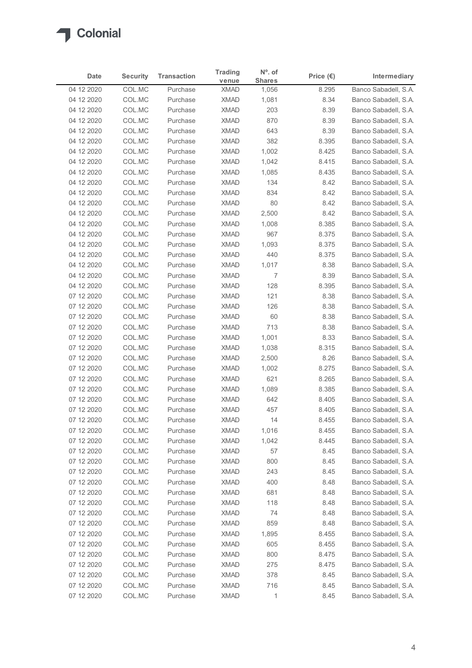

| Date                     | <b>Security</b>  | <b>Transaction</b>   | <b>Trading</b>             | $No$ . of              | Price $(\epsilon)$ | Intermediary                                 |
|--------------------------|------------------|----------------------|----------------------------|------------------------|--------------------|----------------------------------------------|
| 04 12 2020               | COL.MC           | Purchase             | venue<br><b>XMAD</b>       | <b>Shares</b><br>1,056 | 8.295              | Banco Sabadell, S.A.                         |
| 04 12 2020               | COL.MC           | Purchase             | <b>XMAD</b>                | 1,081                  | 8.34               | Banco Sabadell, S.A.                         |
| 04 12 2020               | COL.MC           | Purchase             | <b>XMAD</b>                | 203                    | 8.39               | Banco Sabadell, S.A.                         |
| 04 12 2020               | COL.MC           | Purchase             | <b>XMAD</b>                | 870                    | 8.39               | Banco Sabadell, S.A.                         |
| 04 12 2020               | COL.MC           | Purchase             | <b>XMAD</b>                | 643                    | 8.39               | Banco Sabadell, S.A.                         |
| 04 12 2020               | COL.MC           | Purchase             | <b>XMAD</b>                | 382                    | 8.395              | Banco Sabadell, S.A.                         |
| 04 12 2020<br>04 12 2020 | COL.MC<br>COL.MC | Purchase<br>Purchase | <b>XMAD</b><br><b>XMAD</b> | 1,002<br>1,042         | 8.425<br>8.415     | Banco Sabadell, S.A.<br>Banco Sabadell, S.A. |
| 04 12 2020               | COL.MC           | Purchase             | <b>XMAD</b>                | 1,085                  | 8.435              | Banco Sabadell, S.A.                         |
| 04 12 2020               | COL.MC           | Purchase             | <b>XMAD</b>                | 134                    | 8.42               | Banco Sabadell, S.A.                         |
| 04 12 2020               | COL.MC           | Purchase             | <b>XMAD</b>                | 834                    | 8.42               | Banco Sabadell, S.A.                         |
| 04 12 2020               | COL.MC           | Purchase             | <b>XMAD</b>                | 80                     | 8.42               | Banco Sabadell, S.A.                         |
| 04 12 2020               | COL.MC           | Purchase             | <b>XMAD</b>                | 2,500                  | 8.42               | Banco Sabadell, S.A.                         |
| 04 12 2020               | COL.MC           | Purchase             | XMAD                       | 1,008                  | 8.385              | Banco Sabadell, S.A.                         |
| 04 12 2020               | COL.MC           | Purchase             | <b>XMAD</b>                | 967                    | 8.375              | Banco Sabadell, S.A.                         |
| 04 12 2020<br>04 12 2020 | COL.MC<br>COL.MC | Purchase<br>Purchase | XMAD<br><b>XMAD</b>        | 1,093<br>440           | 8.375<br>8.375     | Banco Sabadell, S.A.<br>Banco Sabadell, S.A. |
| 04 12 2020               | COL.MC           | Purchase             | <b>XMAD</b>                | 1,017                  | 8.38               | Banco Sabadell, S.A.                         |
| 04 12 2020               | COL.MC           | Purchase             | <b>XMAD</b>                | 7                      | 8.39               | Banco Sabadell, S.A.                         |
| 04 12 2020               | COL.MC           | Purchase             | <b>XMAD</b>                | 128                    | 8.395              | Banco Sabadell, S.A.                         |
| 07 12 2020               | COL.MC           | Purchase             | <b>XMAD</b>                | 121                    | 8.38               | Banco Sabadell, S.A.                         |
| 07 12 2020               | COL.MC           | Purchase             | <b>XMAD</b>                | 126                    | 8.38               | Banco Sabadell, S.A.                         |
| 07 12 2020               | COL.MC           | Purchase             | XMAD                       | 60                     | 8.38               | Banco Sabadell, S.A.                         |
| 07 12 2020               | COL.MC           | Purchase             | <b>XMAD</b>                | 713                    | 8.38               | Banco Sabadell, S.A.                         |
| 07 12 2020<br>07 12 2020 | COL.MC<br>COL.MC | Purchase<br>Purchase | <b>XMAD</b><br><b>XMAD</b> | 1,001<br>1,038         | 8.33<br>8.315      | Banco Sabadell, S.A.<br>Banco Sabadell, S.A. |
| 07 12 2020               | COL.MC           | Purchase             | <b>XMAD</b>                | 2,500                  | 8.26               | Banco Sabadell, S.A.                         |
| 07 12 2020               | COL.MC           | Purchase             | <b>XMAD</b>                | 1,002                  | 8.275              | Banco Sabadell, S.A.                         |
| 07 12 2020               | COL.MC           | Purchase             | XMAD                       | 621                    | 8.265              | Banco Sabadell, S.A.                         |
| 07 12 2020               | COL.MC           | Purchase             | <b>XMAD</b>                | 1,089                  | 8.385              | Banco Sabadell, S.A.                         |
| 07 12 2020               | COL.MC           | Purchase             | <b>XMAD</b>                | 642                    | 8.405              | Banco Sabadell, S.A.                         |
| 07 12 2020               | COL.MC           | Purchase             | <b>XMAD</b>                | 457                    | 8.405              | Banco Sabadell, S.A.                         |
| 07 12 2020               | COL.MC           | Purchase             | <b>XMAD</b>                | 14                     | 8.455              | Banco Sabadell, S.A.                         |
| 07 12 2020               | COL.MC           | Purchase             | <b>XMAD</b>                | 1,016                  | 8.455              | Banco Sabadell, S.A.                         |
| 07 12 2020<br>07 12 2020 | COL.MC<br>COL.MC | Purchase<br>Purchase | XMAD<br><b>XMAD</b>        | 1,042<br>57            | 8.445<br>8.45      | Banco Sabadell, S.A.<br>Banco Sabadell, S.A. |
| 07 12 2020               | COL.MC           | Purchase             | <b>XMAD</b>                | 800                    | 8.45               | Banco Sabadell, S.A.                         |
| 07 12 2020               | COL.MC           | Purchase             | <b>XMAD</b>                | 243                    | 8.45               | Banco Sabadell, S.A.                         |
| 07 12 2020               | COL.MC           | Purchase             | XMAD                       | 400                    | 8.48               | Banco Sabadell, S.A.                         |
| 07 12 2020               | COL.MC           | Purchase             | <b>XMAD</b>                | 681                    | 8.48               | Banco Sabadell, S.A.                         |
| 07 12 2020               | COL.MC           | Purchase             | <b>XMAD</b>                | 118                    | 8.48               | Banco Sabadell, S.A.                         |
| 07 12 2020               | COL.MC           | Purchase             | <b>XMAD</b>                | 74                     | 8.48               | Banco Sabadell, S.A.                         |
| 07 12 2020               | COL.MC           | Purchase             | <b>XMAD</b>                | 859                    | 8.48               | Banco Sabadell, S.A.                         |
| 07 12 2020               | COL.MC           | Purchase             | <b>XMAD</b>                | 1,895                  | 8.455              | Banco Sabadell, S.A.                         |
| 07 12 2020<br>07 12 2020 | COL.MC<br>COL.MC | Purchase<br>Purchase | XMAD<br>XMAD               | 605<br>800             | 8.455<br>8.475     | Banco Sabadell, S.A.<br>Banco Sabadell, S.A. |
| 07 12 2020               | COL.MC           | Purchase             | <b>XMAD</b>                | 275                    | 8.475              | Banco Sabadell, S.A.                         |
| 07 12 2020               | COL.MC           | Purchase             | <b>XMAD</b>                | 378                    | 8.45               | Banco Sabadell, S.A.                         |
| 07 12 2020               | COL.MC           | Purchase             | <b>XMAD</b>                | 716                    | 8.45               | Banco Sabadell, S.A.                         |
|                          | COL.MC           | Purchase             | <b>XMAD</b>                | 1                      | 8.45               | Banco Sabadell, S.A.                         |